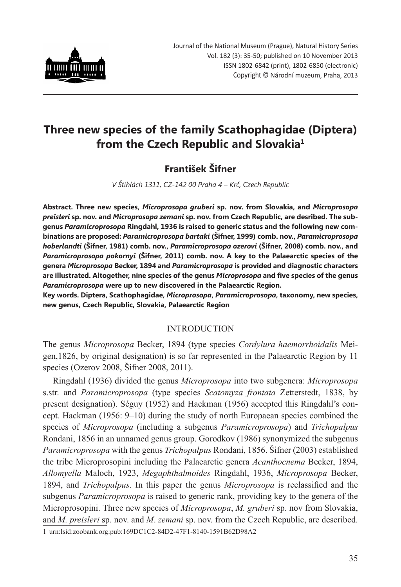

# **Three new species of the family Scathophagidae (Diptera) from the Czech Republic and Slovakia1**

## **František Šifner**

*V Štíhlách 1311, CZ-142 00 Praha 4 – Krč, Czech Republic*

**Abstract. Three new species,** *Microprosopa gruberi* **sp. nov. from Slovakia, and** *Microprosopa preisleri* **sp. nov. and** *Microprosopa zemani* **sp. nov. from Czech Republic, are desribed. The subgenus** *Paramicroprosopa* **Ringdahl, 1936 is raised to generic status and the following new combinations are proposed:** *Paramicroprosopa bartaki* **(Šifner, 1999) comb. nov.,** *Paramicroprosopa hoberlandti* **(Šifner, 1981) comb. nov.,** *Paramicroprosopa ozerovi* **(Šifner, 2008) comb. nov., and**  *Paramicroprosopa pokornyi* **(Šifner, 2011) comb. nov. A key to the Palaearctic species of the genera** *Microprosopa* **Becker, 1894 and** *Paramicroprosopa* **is provided and diagnostic characters are illustrated. Altogether, nine species of the genus** *Microprosopa* **and five species of the genus**  *Paramicroprosopa* **were up to new discovered in the Palaearctic Region.**

**Key words. Diptera, Scathophagidae,** *Microprosopa***,** *Paramicroprosopa***, taxonomy, new species, new genus, Czech Republic, Slovakia, Palaearctic Region**

## INTRODUCTION

The genus *Microprosopa* Becker, 1894 (type species *Cordylura haemorrhoidalis* Meigen,1826, by original designation) is so far represented in the Palaearctic Region by 11 species (Ozerov 2008, Šifner 2008, 2011).

Ringdahl (1936) divided the genus *Microprosopa* into two subgenera: *Microprosopa* s.str. and *Paramicroprosopa* (type species *Scatomyza frontata* Zetterstedt, 1838, by present designation). Séguy (1952) and Hackman (1956) accepted this Ringdahl's concept. Hackman (1956: 9–10) during the study of north Europaean species combined the species of *Microprosopa* (including a subgenus *Paramicroprosopa*) and *Trichopalpus* Rondani, 1856 in an unnamed genus group. Gorodkov (1986) synonymized the subgenus *Paramicroprosopa* with the genus *Trichopalpus* Rondani, 1856. Šifner (2003) established the tribe Microprosopini including the Palaearctic genera *Acanthocnema* Becker, 1894, *Allomyella* Maloch, 1923, *Megaphthalmoides* Ringdahl, 1936, *Microprosopa* Becker, 1894, and *Trichopalpus*. In this paper the genus *Microprosopa* is reclassified and the subgenus *Paramicroprosopa* is raised to generic rank, providing key to the genera of the Microprosopini. Three new species of *Microprosopa*, *M. gruberi* sp. nov from Slovakia, and *M. preisleri* sp. nov. and *M*. *zemani* sp. nov. from the Czech Republic, are described. 1 urn:lsid:zoobank.org:pub:169DC1C2-84D2-47F1-8140-1591B62D98A2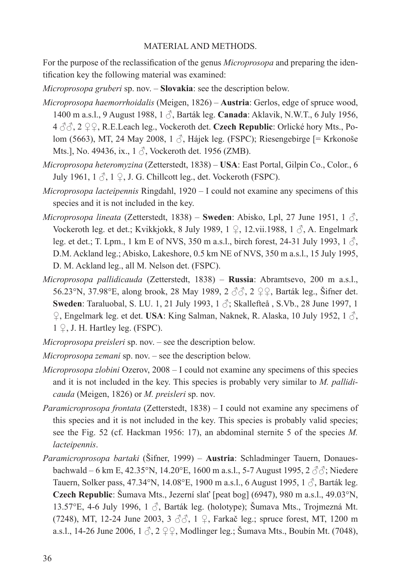## MATERIAL AND METHODS.

For the purpose of the reclassification of the genus *Microprosopa* and preparing the identification key the following material was examined:

*Microprosopa gruberi* sp. nov. – **Slovakia**: see the description below.

- *Microprosopa haemorrhoidalis* (Meigen, 1826) **Austria**: Gerlos, edge of spruce wood, 1400 m a.s.l., 9 August 1988, 1 ♂, Barták leg. **Canada**: Aklavik, N.W.T., 6 July 1956, 4 ♂♂, 2 ♀♀, R.E.Leach leg., Vockeroth det. **Czech Republic**: Orlické hory Mts., Polom (5663), MT, 24 May 2008, 1 ♂, Hájek leg. (FSPC); Riesengebirge [= Krkonoše Mts.], No. 49436, ix.,  $1 \text{ } \sqrt{\ }$ , Vockeroth det. 1956 (ZMB).
- *Microprosopa heteromyzina* (Zetterstedt, 1838) **USA**: East Portal, Gilpin Co., Color., 6 July 1961,  $1 \circled{?}$ ,  $1 \circled{?}$ , J. G. Chillcott leg., det. Vockeroth (FSPC).
- *Microprosopa lacteipennis* Ringdahl, 1920 I could not examine any specimens of this species and it is not included in the key.
- *Microprosopa lineata* (Zetterstedt, 1838) **Sweden**: Abisko, Lpl, 27 June 1951, 1 $\beta$ , Vockeroth leg. et det.; Kvikkjokk, 8 July 1989, 1  $\circ$ , 12.vii.1988, 1  $\circ$ , A. Engelmark leg. et det.; T. Lpm., 1 km E of NVS, 350 m a.s.l., birch forest, 24-31 July 1993,  $1 \circ \hat{\theta}$ , D.M. Ackland leg.; Abisko, Lakeshore, 0.5 km NE of NVS, 350 m a.s.l., 15 July 1995, D. M. Ackland leg., all M. Nelson det. (FSPC).
- *Microprosopa pallidicauda* (Zetterstedt, 1838) **Russia**: Abramtsevo, 200 m a.s.l., 56.23°N, 37.98°E, along brook, 28 May 1989, 2 ♂♂, 2 ♀♀, Barták leg., Šifner det. **Sweden**: Taraluobal, S. LU. 1, 21 July 1993, 1 ♂; Skallefteå , S.Vb., 28 June 1997, 1 ♀, Engelmark leg. et det. **USA**: King Salman, Naknek, R. Alaska, 10 July 1952, 1 ♂,  $1 \nsubseteq$ , J. H. Hartley leg. (FSPC).
- *Microprosopa preisleri* sp. nov. see the description below.
- *Microprosopa zemani* sp. nov. see the description below.
- *Microprosopa zlobini* Ozerov, 2008 I could not examine any specimens of this species and it is not included in the key. This species is probably very similar to *M. pallidicauda* (Meigen, 1826) or *M. preisleri* sp. nov.
- *Paramicroprosopa frontata* (Zetterstedt, 1838) I could not examine any specimens of this species and it is not included in the key. This species is probably valid species; see the Fig. 52 (cf. Hackman 1956: 17), an abdominal sternite 5 of the species *M. lacteipennis*.
- *Paramicroprosopa bartaki* (Šifner, 1999) **Austria**: Schladminger Tauern, Donauesbachwald – 6 km E, 42.35°N, 14.20°E, 1600 m a.s.l., 5-7 August 1995, 2  $\partial \partial$ ; Niedere Tauern, Solker pass, 47.34°N, 14.08°E, 1900 m a.s.l., 6 August 1995, 1  $\delta$ , Barták leg. **Czech Republic**: Šumava Mts., Jezerní slať [peat bog] (6947), 980 m a.s.l., 49.03°N, 13.57°E, 4-6 July 1996, 1 ♂, Barták leg. (holotype); Šumava Mts., Trojmezná Mt. (7248), MT, 12-24 June 2003, 3  $\partial \bar{\partial}$ , 1  $\Omega$ , Farkač leg.; spruce forest, MT, 1200 m a.s.l., 14-26 June 2006,  $1 \text{ } \Diamond$ ,  $2 \text{ } \Diamond$ , Modlinger leg.; Šumava Mts., Boubín Mt. (7048),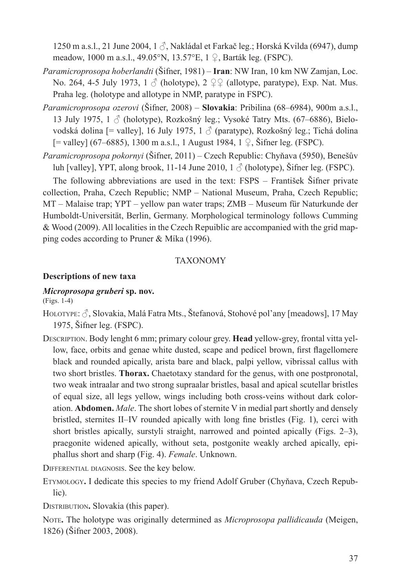1250 m a.s.l., 21 June 2004, 1 ♂, Nakládal et Farkač leg.; Horská Kvilda (6947), dump meadow, 1000 m a.s.l., 49.05°N, 13.57°E, 1 ♀, Barták leg. (FSPC).

- *Paramicroprosopa hoberlandti* (Šifner, 1981) **Iran**: NW Iran, 10 km NW Zamjan, Loc. No. 264, 4-5 July 1973, 1  $\beta$  (holotype), 2  $\mathfrak{Q} \mathfrak{Q}$  (allotype, paratype), Exp. Nat. Mus. Praha leg. (holotype and allotype in NMP, paratype in FSPC).
- *Paramicroprosopa ozerovi* (Šifner, 2008) **Slovakia**: Pribilina (68–6984), 900m a.s.l., 13 July 1975, 1  $\delta$  (holotype), Rozkošný leg.; Vysoké Tatry Mts. (67–6886), Bielovodská dolina  $[=$  valley], 16 July 1975, 1  $\circled{}$  (paratype), Rozkošný leg.; Tichá dolina [= valley] (67–6885), 1300 m a.s.l., 1 August 1984, 1 ♀, Šifner leg. (FSPC).
- *Paramicroprosopa pokornyi* (Šifner, 2011) Czech Republic: Chyňava (5950), Benešův luh [valley], YPT, along brook, 11-14 June 2010,  $1 \circ$  (holotype), Šifner leg. (FSPC).

The following abbreviations are used in the text: FSPS – František Šifner private collection, Praha, Czech Republic; NMP – National Museum, Praha, Czech Republic; MT – Malaise trap; YPT – yellow pan water traps; ZMB – Museum für Naturkunde der Humboldt-Universität, Berlin, Germany. Morphological terminology follows Cumming & Wood (2009). All localities in the Czech Repuiblic are accompanied with the grid mapping codes according to Pruner & Míka (1996).

## TAXONOMY

## **Descriptions of new taxa**

## *Microprosopa gruberi* **sp. nov.**

(Figs. 1-4)

- Holotype: ♂, Slovakia, Malá Fatra Mts., Štefanová, Stohové pol'any [meadows], 17 May 1975, Šifner leg. (FSPC).
- Description. Body lenght 6 mm; primary colour grey. **Head** yellow-grey, frontal vitta yellow, face, orbits and genae white dusted, scape and pedicel brown, first flagellomere black and rounded apically, arista bare and black, palpi yellow, vibrissal callus with two short bristles. **Thorax.** Chaetotaxy standard for the genus, with one postpronotal, two weak intraalar and two strong supraalar bristles, basal and apical scutellar bristles of equal size, all legs yellow, wings including both cross-veins without dark coloration. **Abdomen.** *Male*. The short lobes of sternite V in medial part shortly and densely bristled, sternites II–IV rounded apically with long fine bristles (Fig. 1), cerci with short bristles apically, surstyli straight, narrowed and pointed apically (Figs. 2–3), praegonite widened apically, without seta, postgonite weakly arched apically, epiphallus short and sharp (Fig. 4). *Female*. Unknown.

Differential diagnosis. See the key below.

Etymology**.** I dedicate this species to my friend Adolf Gruber (Chyňava, Czech Republic).

DISTRIBUTION. Slovakia (this paper).

Note**.** The holotype was originally determined as *Microprosopa pallidicauda* (Meigen, 1826) (Šifner 2003, 2008).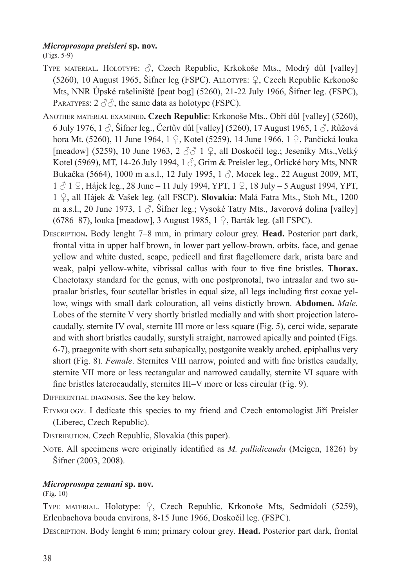## *Microprosopa preisleri* **sp. nov.**

(Figs. 5-9)

- Type material**.** Holotype: ♂, Czech Republic, Krkokoše Mts., Modrý důl [valley] (5260), 10 August 1965, Šifner leg (FSPC). Allotype: ♀, Czech Republic Krkonoše Mts, NNR Úpské rašeliniště [peat bog] (5260), 21-22 July 1966, Šifner leg. (FSPC), PARATYPES:  $2 \text{ } \textcircled{3} \textcircled{3}$ , the same data as holotype (FSPC).
- Another material examined**. Czech Republic**: Krkonoše Mts., Obří důl [valley] (5260), 6 July 1976,  $1 \hat{\beta}$ , Šifner leg., Čertův důl [valley] (5260), 17 August 1965,  $1 \hat{\beta}$ , Růžová hora Mt. (5260), 11 June 1964, 1 ♀, Kotel (5259), 14 June 1966, 1 ♀, Pančická louka [meadow] (5259), 10 June 1963, 2  $\partial \partial$  1  $\partial$ , all Doskočil leg.; Jeseníky Mts., Velký Kotel (5969), MT, 14-26 July 1994, 1  $\beta$ , Grim & Preisler leg., Orlické hory Mts, NNR Bukačka (5664), 1000 m a.s.l., 12 July 1995, 1 ♂, Mocek leg., 22 August 2009, MT, 1 ♂ 1 ♀, Hájek leg., 28 June – 11 July 1994, YPT, 1 ♀, 18 July – 5 August 1994, YPT, 1 ♀, all Hájek & Vašek leg. (all FSCP). **Slovakia**: Malá Fatra Mts., Stoh Mt., 1200 m a.s.l., 20 June 1973, 1  $\delta$ , Šifner leg.; Vysoké Tatry Mts., Javorová dolina [valley] (6786–87), louka [meadow], 3 August 1985, 1 ♀, Barták leg. (all FSPC).
- Description**.** Body lenght 7–8 mm, in primary colour grey. **Head.** Posterior part dark, frontal vitta in upper half brown, in lower part yellow-brown, orbits, face, and genae yellow and white dusted, scape, pedicell and first flagellomere dark, arista bare and weak, palpi yellow-white, vibrissal callus with four to five fine bristles. **Thorax.** Chaetotaxy standard for the genus, with one postpronotal, two intraalar and two supraalar bristles, four scutellar bristles in equal size, all legs including first coxae yellow, wings with small dark colouration, all veins distictly brown. **Abdomen.** *Male.* Lobes of the sternite V very shortly bristled medially and with short projection laterocaudally, sternite IV oval, sternite III more or less square (Fig. 5), cerci wide, separate and with short bristles caudally, surstyli straight, narrowed apically and pointed (Figs. 6-7), praegonite with short seta subapically, postgonite weakly arched, epiphallus very short (Fig. 8). *Female*. Sternites VIII narrow, pointed and with fine bristles caudally, sternite VII more or less rectangular and narrowed caudally, sternite VI square with fine bristles laterocaudally, sternites III–V more or less circular (Fig. 9).

Differential diagnosis. See the key below.

Etymology. I dedicate this species to my friend and Czech entomologist Jiří Preisler (Liberec, Czech Republic).

DISTRIBUTION. Czech Republic, Slovakia (this paper).

Note. All specimens were originally identified as *M. pallidicauda* (Meigen, 1826) by Šifner (2003, 2008).

## *Microprosopa zemani* **sp. nov.**

(Fig. 10)

Type material. Holotype: ♀, Czech Republic, Krkonoše Mts, Sedmidolí (5259), Erlenbachova bouda environs, 8-15 June 1966, Doskočil leg. (FSPC).

Description. Body lenght 6 mm; primary colour grey. **Head.** Posterior part dark, frontal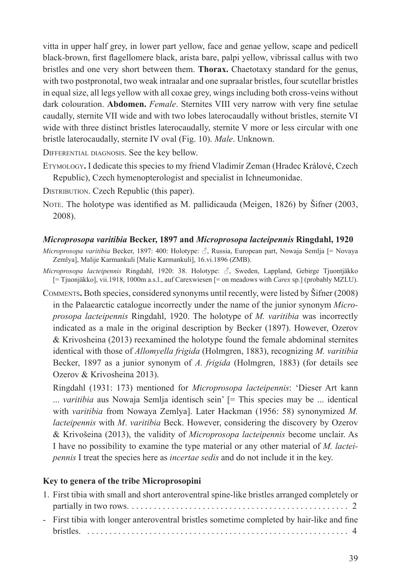vitta in upper half grey, in lower part yellow, face and genae yellow, scape and pedicell black-brown, first flagellomere black, arista bare, palpi yellow, vibrissal callus with two bristles and one very short between them. **Thorax.** Chaetotaxy standard for the genus, with two postpronotal, two weak intraalar and one supraalar bristles, four scutellar bristles in equal size, all legs yellow with all coxae grey, wings including both cross-veins without dark colouration. **Abdomen.** *Female*. Sternites VIII very narrow with very fine setulae caudally, sternite VII wide and with two lobes laterocaudally without bristles, sternite VI wide with three distinct bristles laterocaudally, sternite V more or less circular with one bristle laterocaudally, sternite IV oval (Fig. 10). *Male*. Unknown.

Differential diagnosis. See the key bellow.

- Etymology**.** I dedicate this species to my friend Vladimír Zeman (Hradec Králové, Czech Republic), Czech hymenopterologist and specialist in Ichneumonidae.
- DISTRIBUTION. Czech Republic (this paper).
- Note. The holotype was identified as M. pallidicauda (Meigen, 1826) by Šifner (2003, 2008).

#### *Microprosopa varitibia* **Becker, 1897 and** *Microprosopa lacteipennis* **Ringdahl, 1920**

*Microprosopa varitibia* Becker, 1897: 400: Holotype: ♂, Russia, European part, Nowaja Semlja [= Novaya Zemlya], Malije Karmankuli [Malie Karmankuli], 16.vi.1896 (ZMB).

- *Microprosopa lacteipennis* Ringdahl, 1920: 38. Holotype: ♂, Sweden, Lappland, Gebirge Tjuontjäkko [= Tjuonjäkko], vii.1918, 1000m a.s.l., auf Carexwiesen [= on meadows with *Carex* sp.] (probably MZLU).
- Comments**.** Both species, considered synonyms until recently, were listed by Šifner (2008) in the Palaearctic catalogue incorrectly under the name of the junior synonym *Microprosopa lacteipennis* Ringdahl, 1920. The holotype of *M. varitibia* was incorrectly indicated as a male in the original description by Becker (1897). However, Ozerov & Krivosheina (2013) reexamined the holotype found the female abdominal sternites identical with those of *Allomyella frigida* (Holmgren, 1883), recognizing *M. varitibia* Becker, 1897 as a junior synonym of *A. frigida* (Holmgren, 1883) (for details see Ozerov & Krivosheina 2013).

Ringdahl (1931: 173) mentioned for *Microprosopa lacteipennis*: 'Dieser Art kann ... *varitibia* aus Nowaja Semlja identisch sein' [= This species may be ... identical with *varitibia* from Nowaya Zemlya]. Later Hackman (1956: 58) synonymized *M. lacteipennis* with *M*. *varitibia* Beck. However, considering the discovery by Ozerov & Krivošeina (2013), the validity of *Microprosopa lacteipennis* become unclair. As I have no possibility to examine the type material or any other material of *M. lacteipennis* I treat the species here as *incertae sedis* and do not include it in the key.

#### **Key to genera of the tribe Microprosopini**

| 1. First tibia with small and short anteroventral spine-like bristles arranged completely or |
|----------------------------------------------------------------------------------------------|
|                                                                                              |
| - First tibia with longer anteroventral bristles sometime completed by hair-like and fine    |
|                                                                                              |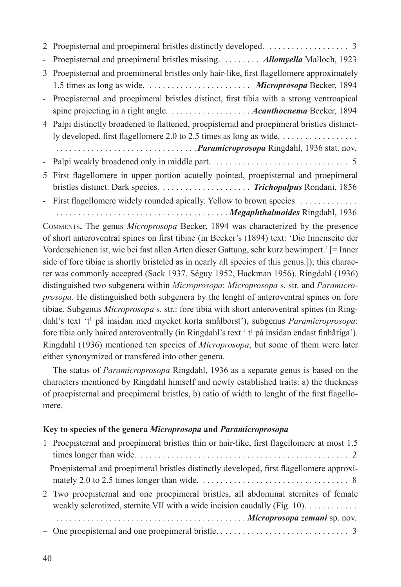| - Proepisternal and proepimeral bristles missing. Allomyella Malloch, 1923                                                                                        |
|-------------------------------------------------------------------------------------------------------------------------------------------------------------------|
| 3 Proepisternal and proemimeral bristles only hair-like, first flagellomere approximately                                                                         |
| - Proepisternal and proepimeral bristles distinct, first tibia with a strong ventroapical                                                                         |
| 4 Palpi distinctly broadened to flattened, proepisternal and proepimeral bristles distinct-<br>ly developed, first flagellomere 2.0 to 2.5 times as long as wide. |
|                                                                                                                                                                   |
|                                                                                                                                                                   |
| 5 First flagellomere in upper portion acutelly pointed, proepisternal and proepimeral                                                                             |
| - First flagellomere widely rounded apically. Yellow to brown species<br>Megaphthalmoides Ringdahl, 1936                                                          |

Comments**.** The genus *Microprosopa* Becker, 1894 was characterized by the presence of short anteroventral spines on first tibiae (in Becker's (1894) text: 'Die Innenseite der Vorderschienen ist, wie bei fast allen Arten dieser Gattung, sehr kurz bewimpert.' [= Inner side of fore tibiae is shortly bristeled as in nearly all species of this genus.]); this character was commonly accepted (Sack 1937, Séguy 1952, Hackman 1956). Ringdahl (1936) distinguished two subgenera within *Microprosopa*: *Microprosopa* s. str. and *Paramicroprosopa*. He distinguished both subgenera by the lenght of anteroventral spines on fore tibiae. Subgenus *Microprosopa* s. str.: fore tibia with short anteroventral spines (in Ringdahl's text 't<sup>1</sup> på insidan med mycket korta smålborst'), subgenus Paramicroprosopa: fore tibia only haired anteroventrally (in Ringdahl's text 't<sup>1</sup> på insidan endast finhåriga'). Ringdahl (1936) mentioned ten species of *Microprosopa*, but some of them were later either synonymized or transfered into other genera.

The status of *Paramicroprosopa* Ringdahl, 1936 as a separate genus is based on the characters mentioned by Ringdahl himself and newly established traits: a) the thickness of proepisternal and proepimeral bristles, b) ratio of width to lenght of the first flagellomere.

## **Key to species of the genera** *Microprosopa* **and** *Paramicroprosopa*

| 1 Proepisternal and proepimeral bristles thin or hair-like, first flagellomere at most 1.5 |
|--------------------------------------------------------------------------------------------|
|                                                                                            |
| - Proepisternal and proepimeral bristles distinctly developed, first flagellomere approxi- |
|                                                                                            |
| 2 Two proepisternal and one proepimeral bristles, all abdominal sternites of female        |
| weakly sclerotized, sternite VII with a wide incision caudally (Fig. $10$ ).               |
|                                                                                            |
|                                                                                            |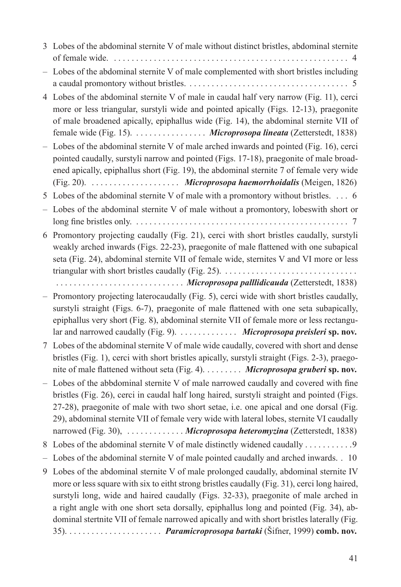- 3 Lobes of the abdominal sternite V of male without distinct bristles, abdominal sternite of female wide. . . 4
- Lobes of the abdominal sternite V of male complemented with short bristles including a caudal promontory without bristles. . . 5
- 4 Lobes of the abdominal sternite V of male in caudal half very narrow (Fig. 11), cerci more or less triangular, surstyli wide and pointed apically (Figs. 12-13), praegonite of male broadened apically, epiphallus wide (Fig. 14), the abdominal sternite VII of female wide (Fig. 15). . . *Microprosopa lineata* (Zetterstedt, 1838)
- Lobes of the abdominal sternite V of male arched inwards and pointed (Fig. 16), cerci pointed caudally, surstyli narrow and pointed (Figs. 17-18), praegonite of male broadened apically, epiphallus short (Fig. 19), the abdominal sternite 7 of female very wide (Fig. 20). . . *Microprosopa haemorrhoidalis* (Meigen, 1826)
- 5 Lobes of the abdominal sternite V of male with a promontory without bristles. . . 6
- Lobes of the abdominal sternite V of male without a promontory, lobeswith short or long fine bristles only. . . 7
- 6 Promontory projecting caudally (Fig. 21), cerci with short bristles caudally, surstyli weakly arched inwards (Figs. 22-23), praegonite of male flattened with one subapical seta (Fig. 24), abdominal sternite VII of female wide, sternites V and VI more or less triangular with short bristles caudally (Fig. 25). .

. . *Microprosopa palllidicauda* (Zetterstedt, 1838)

- Promontory projecting laterocaudally (Fig. 5), cerci wide with short bristles caudally, surstyli straight (Figs. 6-7), praegonite of male flattened with one seta subapically, epiphallus very short (Fig. 8), abdominal sternite VII of female more or less rectangular and narrowed caudally (Fig. 9). . . *Microprosopa preisleri* **sp. nov.**
- 7 Lobes of the abdominal sternite V of male wide caudally, covered with short and dense bristles (Fig. 1), cerci with short bristles apically, surstyli straight (Figs. 2-3), praegonite of male flattened without seta (Fig. 4). . . *Microprosopa gruberi* **sp. nov.**
- Lobes of the abbdominal sternite V of male narrowed caudally and covered with fine bristles (Fig. 26), cerci in caudal half long haired, surstyli straight and pointed (Figs. 27-28), praegonite of male with two short setae, i.e. one apical and one dorsal (Fig. 29), abdominal sternite VII of female very wide with lateral lobes, sternite VI caudally narrowed (Fig. 30), ........... *Microprosopa heteromyzina* (Zetterstedt, 1838)
- 8 Lobes of the abdominal sternite V of male distinctly widened caudally . . . . . . . . . . .9
- Lobes of the abdominal sternite V of male pointed caudally and arched inwards. . . 10
- 9 Lobes of the abdominal sternite V of male prolonged caudally, abdominal sternite IV more or less square with six to eitht strong bristles caudally (Fig. 31), cerci long haired, surstyli long, wide and haired caudally (Figs. 32-33), praegonite of male arched in a right angle with one short seta dorsally, epiphallus long and pointed (Fig. 34), abdominal stertnite VII of female narrowed apically and with short bristles laterally (Fig. 35). . . *Paramicroprosopa bartaki* (Šifner, 1999) **comb. nov.**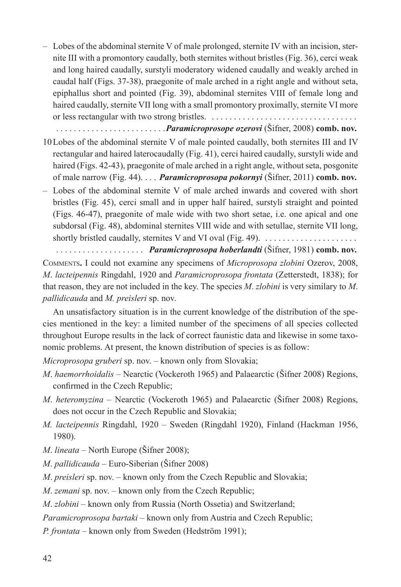– Lobes of the abdominal sternite V of male prolonged, sternite IV with an incision, sternite III with a promontory caudally, both sternites without bristles (Fig. 36), cerci weak and long haired caudally, surstyli moderatory widened caudally and weakly arched in caudal half (Figs. 37-38), praegonite of male arched in a right angle and without seta, epiphallus short and pointed (Fig. 39), abdominal sternites VIII of female long and haired caudally, sternite VII long with a small promontory proximally, sternite VI more or less rectangular with two strong bristles. .

. *Paramicroprosope ozerovi* (Šifner, 2008) **comb. nov.**

- 10Lobes of the abdominal sternite V of male pointed caudally, both sternites III and IV rectangular and haired laterocaudally (Fig. 41), cerci haired caudally, surstyli wide and haired (Figs. 42-43), praegonite of male arched in a right angle, without seta, posgonite of male narrow (Fig. 44). . *Paramicroprosopa pokornyi* (Šifner, 2011) **comb. nov.**
- Lobes of the abdominal sternite V of male arched inwards and covered with short bristles (Fig. 45), cerci small and in upper half haired, surstyli straight and pointed (Figs. 46-47), praegonite of male wide with two short setae, i.e. one apical and one subdorsal (Fig. 48), abdominal sternites VIII wide and with setullae, sternite VII long, shortly bristled caudally, sternites V and VI oval (Fig. 49). .

. . *Paramicroprosopa hoberlandti* (Šifner, 1981) **comb. nov.** Comments**.** I could not examine any specimens of *Microprosopa zlobini* Ozerov, 2008, *M*. *lacteipennis* Ringdahl, 1920 and *Paramicroprosopa frontata* (Zetterstedt, 1838); for that reason, they are not included in the key. The species *M*. *zlobini* is very similary to *M*. *pallidicauda* and *M. preisleri* sp. nov.

An unsatisfactory situation is in the current knowledge of the distribution of the species mentioned in the key: a limited number of the specimens of all species collected throughout Europe results in the lack of correct faunistic data and likewise in some taxonomic problems. At present, the known distribution of species is as follow:

*Microprosopa gruberi* sp. nov. – known only from Slovakia;

- *M*. *haemorrhoidalis*  Nearctic (Vockeroth 1965) and Palaearctic (Šifner 2008) Regions, confirmed in the Czech Republic;
- *M*. *heteromyzina*  Nearctic (Vockeroth 1965) and Palaearctic (Šifner 2008) Regions, does not occur in the Czech Republic and Slovakia;
- *M. lacteipennis* Ringdahl, 1920 Sweden (Ringdahl 1920), Finland (Hackman 1956, 1980).
- *M*. *lineata* North Europe (Šifner 2008);
- *M*. *pallidicauda*  Euro-Siberian (Šifner 2008)
- *M*. *preisleri* sp. nov. known only from the Czech Republic and Slovakia;
- *M*. *zemani* sp. nov. known only from the Czech Republic;

*M*. *zlobini* – known only from Russia (North Ossetia) and Switzerland;

*Paramicroprosopa bartaki* – known only from Austria and Czech Republic;

*P. frontata* – known only from Sweden (Hedström 1991);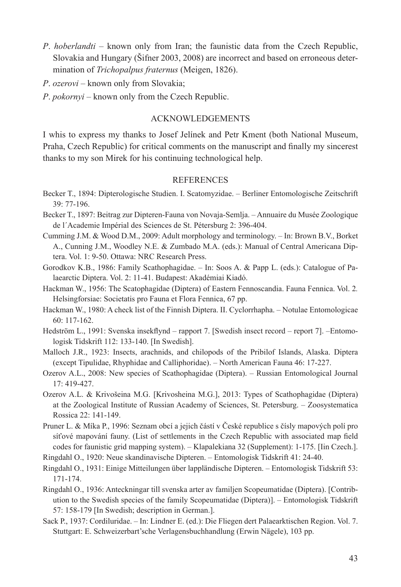- *P. hoberlandti* known only from Iran; the faunistic data from the Czech Republic, Slovakia and Hungary (Šifner 2003, 2008) are incorrect and based on erroneous determination of *Trichopalpus fraternus* (Meigen, 1826).
- *P*. *ozerovi* known only from Slovakia;
- *P*. *pokornyi* known only from the Czech Republic.

## ACKNOWLEDGEMENTS

I whis to express my thanks to Josef Jelínek and Petr Kment (both National Museum, Praha, Czech Republic) for critical comments on the manuscript and finally my sincerest thanks to my son Mirek for his continuing technological help.

## **REFERENCES**

- Becker T., 1894: Dipterologische Studien. I. Scatomyzidae. Berliner Entomologische Zeitschrift 39: 77-196.
- Becker T., 1897: Beitrag zur Dipteren-Fauna von Novaja-Semlja. Annuaire du Musée Zoologique de l´Academie Impérial des Sciences de St. Pétersburg 2: 396-404.
- Cumming J.M. & Wood D.M., 2009: Adult morphology and terminology. In: Brown B.V., Borket A., Cunning J.M., Woodley N.E. & Zumbado M.A. (eds.): Manual of Central Americana Diptera. Vol. 1: 9-50. Ottawa: NRC Research Press.
- Gorodkov K.B., 1986: Family Scathophagidae. In: Soos A. & Papp L. (eds.): Catalogue of Palaearctic Diptera. Vol. 2: 11-41. Budapest: Akadémiai Kiadó.
- Hackman W., 1956: The Scatophagidae (Diptera) of Eastern Fennoscandia. Fauna Fennica. Vol. 2*.* Helsingforsiae: Societatis pro Fauna et Flora Fennica, 67 pp.
- Hackman W., 1980: A check list of the Finnish Diptera. II. Cyclorrhapha. Notulae Entomologicae 60: 117-162.
- Hedström L., 1991: Svenska insekflynd rapport 7. [Swedish insect record report 7]. –Entomologisk Tidskrift 112: 133-140. [In Swedish].
- Malloch J.R., 1923: Insects, arachnids, and chilopods of the Pribilof Islands, Alaska. Diptera (except Tipulidae, Rhyphidae and Calliphoridae). – North American Fauna 46: 17-227.
- Ozerov A.L., 2008: New species of Scathophagidae (Diptera). Russian Entomological Journal 17: 419-427.
- Ozerov A.L. & Krivošeina M.G. [Krivosheina M.G.], 2013: Types of Scathophagidae (Diptera) at the Zoological Institute of Russian Academy of Sciences, St. Petersburg. – Zoosystematica Rossica 22: 141-149.
- Pruner L. & Míka P., 1996: Seznam obcí a jejich částí v České republice s čísly mapových polí pro síťové mapování fauny. (List of settlements in the Czech Republic with associated map field codes for faunistic grid mapping system). – Klapalekiana 32 (Supplement): 1-175. [Iin Czech.].
- Ringdahl O., 1920: Neue skandinavische Dipteren. Entomologisk Tidskrift 41: 24-40.
- Ringdahl O., 1931: Einige Mitteilungen über lappländische Dipteren. Entomologisk Tidskrift 53: 171-174.
- Ringdahl O., 1936: Anteckningar till svenska arter av familjen Scopeumatidae (Diptera). [Contribution to the Swedish species of the family Scopeumatidae (Diptera)]. – Entomologisk Tidskrift 57: 158-179 [In Swedish; description in German.].
- Sack P., 1937: Cordiluridae. In: Lindner E. (ed.): Die Fliegen dert Palaearktischen Region. Vol. 7. Stuttgart: E. Schweizerbart'sche Verlagensbuchhandlung (Erwin Nägele), 103 pp.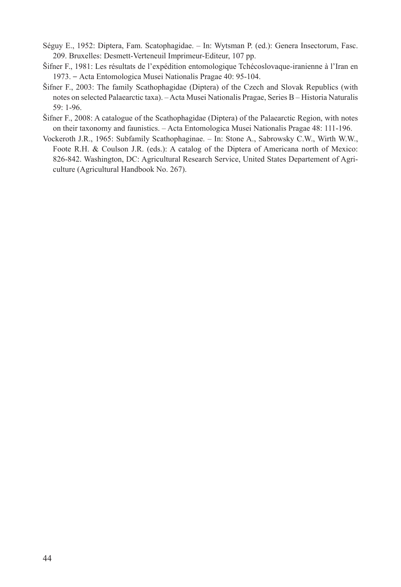- Séguy E., 1952: Diptera, Fam. Scatophagidae. In: Wytsman P. (ed.): Genera Insectorum, Fasc. 209. Bruxelles: Desmett-Verteneuil Imprimeur-Editeur, 107 pp.
- Šifner F., 1981: Les résultats de l'expédition entomologique Tchécoslovaque-iranienne à l'Iran en 1973. – Acta Entomologica Musei Nationalis Pragae 40: 95-104.
- Šifner F., 2003: The family Scathophagidae (Diptera) of the Czech and Slovak Republics (with notes on selected Palaearctic taxa). – Acta Musei Nationalis Pragae, Series B – Historia Naturalis 59: 1-96.
- Šifner F., 2008: A catalogue of the Scathophagidae (Diptera) of the Palaearctic Region, with notes on their taxonomy and faunistics. – Acta Entomologica Musei Nationalis Pragae 48: 111-196.
- Vockeroth J.R., 1965: Subfamily Scathophaginae. In: Stone A., Sabrowsky C.W., Wirth W.W., Foote R.H. & Coulson J.R. (eds.): A catalog of the Diptera of Americana north of Mexico: 826-842. Washington, DC: Agricultural Research Service, United States Departement of Agriculture (Agricultural Handbook No. 267).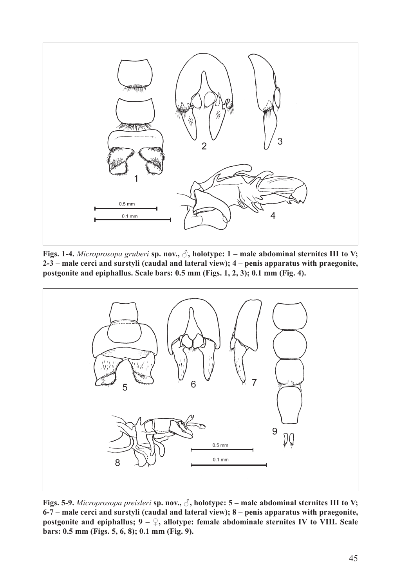

**Figs. 1-4.** *Microprosopa gruberi* **sp. nov., ♂, holotype: 1 – male abdominal sternites III to V; 2-3 – male cerci and surstyli (caudal and lateral view); 4 – penis apparatus with praegonite, postgonite and epiphallus. Scale bars: 0.5 mm (Figs. 1, 2, 3); 0.1 mm (Fig. 4).**



**Figs. 5-9.** *Microprosopa preisleri* **sp. nov., ♂, holotype: 5 – male abdominal sternites III to V; 6-7 – male cerci and surstyli (caudal and lateral view); 8 – penis apparatus with praegonite, postgonite and epiphallus; 9 – ♀, allotype: female abdominale sternites IV to VIII. Scale bars: 0.5 mm (Figs. 5, 6, 8); 0.1 mm (Fig. 9).**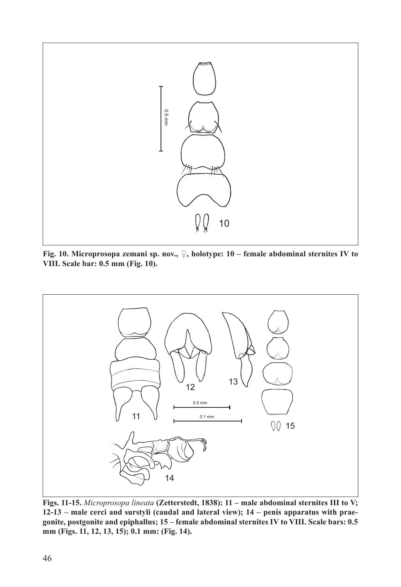

**Fig. 10. Microprosopa zemani sp. nov., ♀, holotype: 10 – female abdominal sternites IV to VIII. Scale bar: 0.5 mm (Fig. 10).**



**Figs. 11-15.** *Microprosopa lineata* **(Zetterstedt, 1838): 11 – male abdominal sternites III to V; 12-13 – male cerci and surstyli (caudal and lateral view); 14 – penis apparatus with praegonite, postgonite and epiphallus; 15 – female abdominal sternites IV to VIII. Scale bars: 0.5 mm (Figs. 11, 12, 13, 15); 0.1 mm: (Fig. 14).**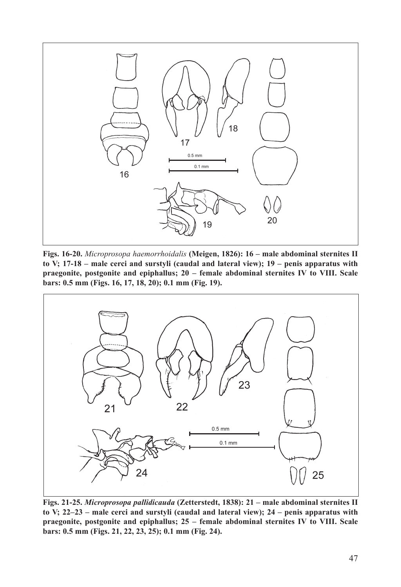

**Figs. 16-20.** *Microprosopa haemorrhoidalis* **(Meigen, 1826): 16 – male abdominal sternites II to V; 17-18 – male cerci and surstyli (caudal and lateral view); 19 – penis apparatus with praegonite, postgonite and epiphallus; 20 – female abdominal sternites IV to VIII. Scale bars: 0.5 mm (Figs. 16, 17, 18, 20); 0.1 mm (Fig. 19).**



**Figs. 21-25.** *Microprosopa pallidicauda* **(Zetterstedt, 1838): 21 – male abdominal sternites II to V; 22–23 – male cerci and surstyli (caudal and lateral view); 24 – penis apparatus with praegonite, postgonite and epiphallus; 25 – female abdominal sternites IV to VIII. Scale bars: 0.5 mm (Figs. 21, 22, 23, 25); 0.1 mm (Fig. 24).**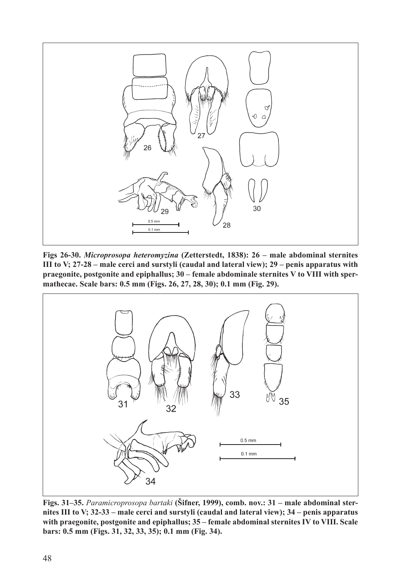

**Figs 26-30.** *Microprosopa heteromyzina* **(Zetterstedt, 1838): 26 – male abdominal sternites III to V; 27-28 – male cerci and surstyli (caudal and lateral view); 29 – penis apparatus with praegonite, postgonite and epiphallus; 30 – female abdominale sternites V to VIII with spermathecae. Scale bars: 0.5 mm (Figs. 26, 27, 28, 30); 0.1 mm (Fig. 29).**



**Figs. 31–35.** *Paramicroprosopa bartaki* **(Šifner, 1999), comb. nov.: 31 – male abdominal sternites III to V; 32-33 – male cerci and surstyli (caudal and lateral view); 34 – penis apparatus with praegonite, postgonite and epiphallus; 35 – female abdominal sternites IV to VIII. Scale bars: 0.5 mm (Figs. 31, 32, 33, 35); 0.1 mm (Fig. 34).**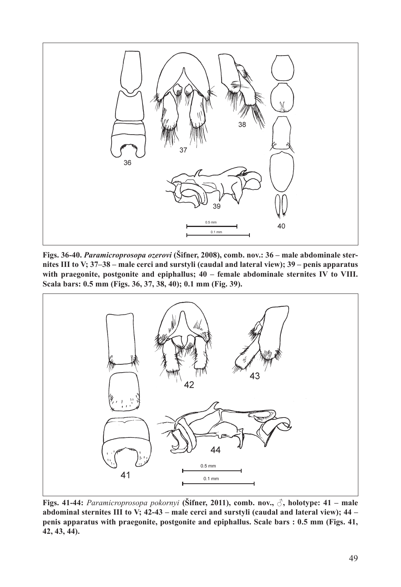

**Figs. 36-40.** *Paramicroprosopa ozerovi* **(Šifner, 2008), comb. nov.: 36 – male abdominale sternites III to V; 37–38 – male cerci and surstyli (caudal and lateral view); 39 – penis apparatus with praegonite, postgonite and epiphallus; 40 – female abdominale sternites IV to VIII. Scala bars: 0.5 mm (Figs. 36, 37, 38, 40); 0.1 mm (Fig. 39).**



**Figs. 41-44:** *Paramicroprosopa pokornyi* **(Šifner, 2011), comb. nov., ♂, holotype: 41 – male abdominal sternites III to V; 42-43 – male cerci and surstyli (caudal and lateral view); 44 – penis apparatus with praegonite, postgonite and epiphallus. Scale bars : 0.5 mm (Figs. 41, 42, 43, 44).**